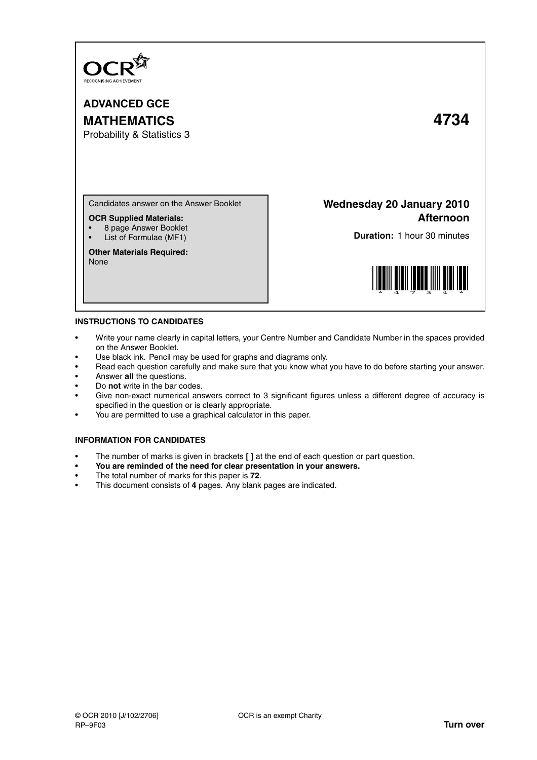

**ADVANCED GCE MATHEMATICS 4734**

Probability & Statistics 3

Candidates answer on the Answer Booklet

**OCR Supplied Materials:**

- 8 page Answer Booklet
- List of Formulae (MF1)

**Other Materials Required:** None

**Wednesday 20 January 2010 Afternoon**

**Duration:** 1 hour 30 minutes



## **INSTRUCTIONS TO CANDIDATES**

- Write your name clearly in capital letters, your Centre Number and Candidate Number in the spaces provided on the Answer Booklet.
- Use black ink. Pencil may be used for graphs and diagrams only.
- Read each question carefully and make sure that you know what you have to do before starting your answer.
- Answer **all** the questions.
- Do **not** write in the bar codes.
- Give non-exact numerical answers correct to 3 significant figures unless a different degree of accuracy is specified in the question or is clearly appropriate.
- You are permitted to use a graphical calculator in this paper.

## **INFORMATION FOR CANDIDATES**

- The number of marks is given in brackets **[ ]** at the end of each question or part question.
- **You are reminded of the need for clear presentation in your answers.**
- The total number of marks for this paper is **72**.
- This document consists of **4** pages. Any blank pages are indicated.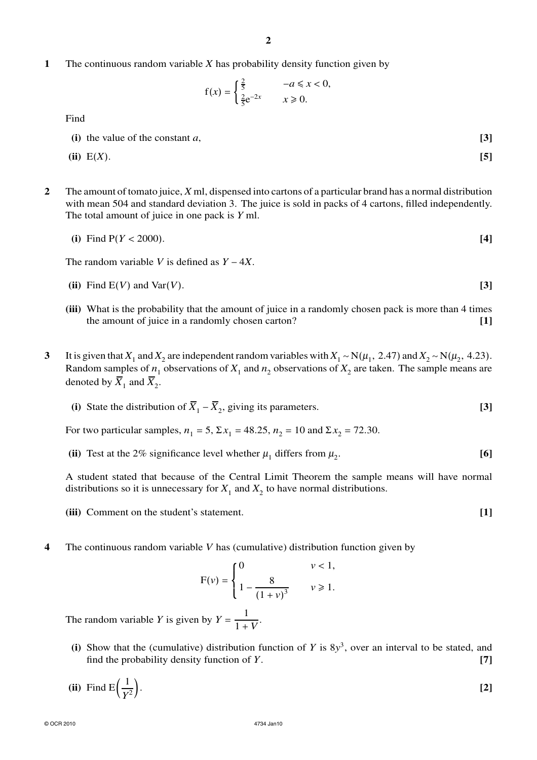**1** The continuous random variable *X* has probability density function given by

$$
f(x) = \begin{cases} \frac{2}{5} & -a \leq x < 0, \\ \frac{2}{5}e^{-2x} & x \geq 0. \end{cases}
$$

Find

**(i)** the value of the constant *a*, **[3]**

$$
(ii) E(X). \tag{5}
$$

**2** The amount of tomato juice, *X* ml, dispensed into cartons of a particular brand has a normal distribution with mean 504 and standard deviation 3. The juice is sold in packs of 4 cartons, filled independently. The total amount of juice in one pack is *Y* ml.

(i) Find 
$$
P(Y < 2000)
$$
. [4]

The random variable *V* is defined as *Y* − 4*X*.

- **(ii)** Find E(*V*) and Var(*V*). **[3]**
- **(iii)** What is the probability that the amount of juice in a randomly chosen pack is more than 4 times the amount of juice in a randomly chosen carton? **[1]**
- **3** It is given that  $X_1$  and  $X_2$  are independent random variables with  $X_1 \sim N(\mu_1, 2.47)$  and  $X_2 \sim N(\mu_2, 4.23)$ . Random samples of  $n_1$  observations of  $X_1$  and  $n_2$  observations of  $X_2$  are taken. The sample means are denoted by  $\overline{X}_1$  and  $\overline{X}_2$ .

(i) State the distribution of 
$$
\overline{X}_1 - \overline{X}_2
$$
, giving its parameters. [3]

For two particular samples,  $n_1 = 5$ ,  $\Sigma x_1 = 48.25$ ,  $n_2 = 10$  and  $\Sigma x_2 = 72.30$ .

(ii) Test at the 2% significance level whether  $\mu_1$  differs from  $\mu_2$ . **[6]**

A student stated that because of the Central Limit Theorem the sample means will have normal distributions so it is unnecessary for  $X_1$  and  $X_2$  to have normal distributions.

- **(iii)** Comment on the student's statement. **[1]**
- **4** The continuous random variable *V* has (cumulative) distribution function given by

$$
F(v) = \begin{cases} 0 & v < 1, \\ 1 - \frac{8}{(1 + v)^3} & v \ge 1. \end{cases}
$$

The random variable *Y* is given by  $Y = \frac{1}{1+y}$  $\frac{1}{1 + V}$ .

- (i) Show that the (cumulative) distribution function of *Y* is  $8y^3$ , over an interval to be stated, and find the probability density function of *Y*. **[7]**
- (ii) Find  $E\left(\frac{1}{V}\right)$ *Y* 2 . **[2]**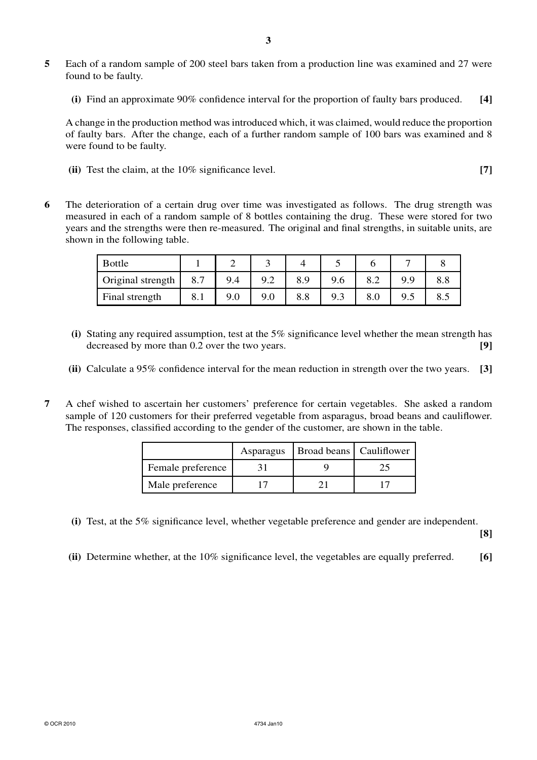- **5** Each of a random sample of 200 steel bars taken from a production line was examined and 27 were found to be faulty.
	- **(i)** Find an approximate 90% confidence interval for the proportion of faulty bars produced. **[4]**

A change in the production method was introduced which, it was claimed, would reduce the proportion of faulty bars. After the change, each of a further random sample of 100 bars was examined and 8 were found to be faulty.

**(ii)** Test the claim, at the 10% significance level. **[7]**

**6** The deterioration of a certain drug over time was investigated as follows. The drug strength was measured in each of a random sample of 8 bottles containing the drug. These were stored for two years and the strengths were then re-measured. The original and final strengths, in suitable units, are shown in the following table.

| <b>Bottle</b>     |     |     |     |     |     |     |     |     |
|-------------------|-----|-----|-----|-----|-----|-----|-----|-----|
| Original strength | 8.7 | 9.4 | 9.2 | 8.9 | 9.6 | o.∠ | 9.9 | 0.0 |
| Final strength    | 8.1 | 9.0 | 9.0 | 8.8 | 9.3 | 8.0 | 9.5 | 8.5 |

- **(i)** Stating any required assumption, test at the 5% significance level whether the mean strength has decreased by more than 0.2 over the two years. **[9]**
- **(ii)** Calculate a 95% confidence interval for the mean reduction in strength over the two years. **[3]**
- **7** A chef wished to ascertain her customers' preference for certain vegetables. She asked a random sample of 120 customers for their preferred vegetable from asparagus, broad beans and cauliflower. The responses, classified according to the gender of the customer, are shown in the table.

|                   | Asparagus | Broad beans   Cauliflower |  |
|-------------------|-----------|---------------------------|--|
| Female preference |           |                           |  |
| Male preference   |           |                           |  |

**(i)** Test, at the 5% significance level, whether vegetable preference and gender are independent.

**[8]**

**(ii)** Determine whether, at the 10% significance level, the vegetables are equally preferred. **[6]**